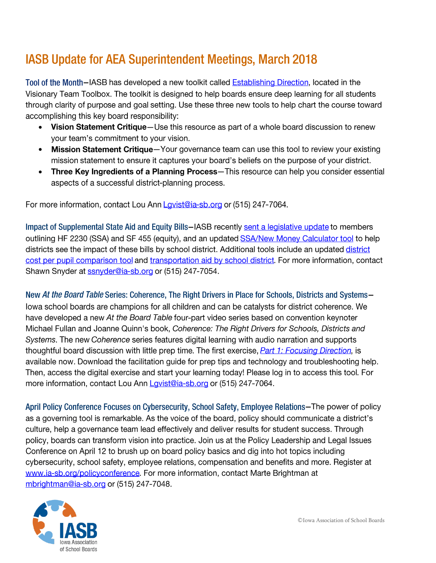## **IASB Update for AEA Superintendent Meetings, March 2018**

Tool of the Month-IASB has developed a new toolkit called **Establishing Direction**, located in the Visionary Team Toolbox. The toolkit is designed to help boards ensure deep learning for all students through clarity of purpose and goal setting. Use these three new tools to help chart the course toward accomplishing this key board responsibility:

- **Vision Statement Critique-Use** this resource as part of a whole board discussion to renew your team's commitment to your vision. •
- **Mission Statement Critique**-Your governance team can use this tool to review your existing mission statement to ensure it captures your board's beliefs on the purpose of your district.  $\bullet$
- **Three Key Ingredients of a Planning Process**—This resource can help you consider essential aspects of a successful district-planning process.  $\bullet$

For more information, contact Lou Ann [Lgvist@ia-sb.org](mailto:Lgvist@ia-sb.org) or (515) 247-7064.

Impact of Supplemental State Aid and Equity Bills-IASB recently sent a legislative update to members outlining HF 2230 (SSA) and SF 455 (equity), and an updated **SSA/New Money Calculator tool** to help districts see the impact of these bills by school district. Additional tools include an updated district [cost ger gugil comgarison tool](http://www.ia-sb.org/DCPPAmend) and [transgortation aid by school district.](http://www.ia-sb.org/SF455Trans) For more information, contact Shawn Snyder at **ssnyder@ia-sb.org** or (515) 247-7054.

New At the Board Table Series: Coherence, The Right Drivers in Place for Schools, Districts and Systems-Iowa school boards are champions for all children and can be catalysts for district coherence. We have developed a new At the Board Table four-part video series based on convention keynoter Michael Fullan and Joanne Quinn's book, Coherence: The Right Drivers for Schools, Districts and Systems. The new Coherence series features digital learning with audio narration and supports thoughtful board discussion with little prep time. The first exercise, *Part 1: Focusing Direction*, is available now. Download the facilitation guide for prep tips and technology and troubleshooting help. Then, access the digital exercise and start your learning today! Please log in to access this tool. For more information, contact Lou Ann Lavist@ia-sb.org or (515) 247-7064.

April Policy Conference Focuses on Cybersecurity, School Safety, Employee Relations- The power of policy as a governing tool is remarkable. As the voice of the board, policy should communicate a district's culture, help a governance team lead effectively and deliver results for student success. Through policy, boards can transform vision into practice. Join us at the Policy Leadership and Legal Issues Conference on April 12 to brush up on board policy basics and dig into hot topics including cybersecurity, school safety, employee relations, compensation and benefits and more. Register at www.ia-sb.org/policyconference. For more information, contact Marte Brightman at [mbrightman@ia-sb.org](mailto:mbrightman@ia-sb.org) or (515) 247-7048.